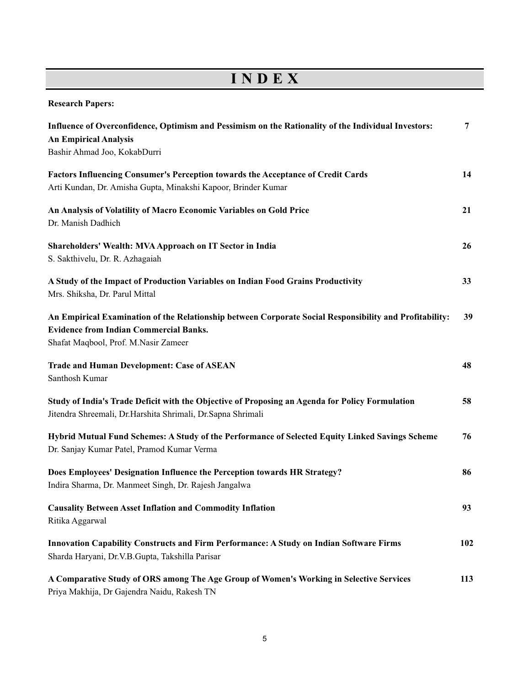## **I N D E X**

**Research Papers:**

| Influence of Overconfidence, Optimism and Pessimism on the Rationality of the Individual Investors:<br><b>An Empirical Analysis</b><br>Bashir Ahmad Joo, KokabDurri                              | 7   |
|--------------------------------------------------------------------------------------------------------------------------------------------------------------------------------------------------|-----|
| Factors Influencing Consumer's Perception towards the Acceptance of Credit Cards<br>Arti Kundan, Dr. Amisha Gupta, Minakshi Kapoor, Brinder Kumar                                                | 14  |
| An Analysis of Volatility of Macro Economic Variables on Gold Price<br>Dr. Manish Dadhich                                                                                                        | 21  |
| Shareholders' Wealth: MVA Approach on IT Sector in India<br>S. Sakthivelu, Dr. R. Azhagaiah                                                                                                      | 26  |
| A Study of the Impact of Production Variables on Indian Food Grains Productivity<br>Mrs. Shiksha, Dr. Parul Mittal                                                                               | 33  |
| An Empirical Examination of the Relationship between Corporate Social Responsibility and Profitability:<br><b>Evidence from Indian Commercial Banks.</b><br>Shafat Maqbool, Prof. M.Nasir Zameer | 39  |
| <b>Trade and Human Development: Case of ASEAN</b><br>Santhosh Kumar                                                                                                                              | 48  |
| Study of India's Trade Deficit with the Objective of Proposing an Agenda for Policy Formulation<br>Jitendra Shreemali, Dr.Harshita Shrimali, Dr.Sapna Shrimali                                   | 58  |
| Hybrid Mutual Fund Schemes: A Study of the Performance of Selected Equity Linked Savings Scheme<br>Dr. Sanjay Kumar Patel, Pramod Kumar Verma                                                    | 76  |
| Does Employees' Designation Influence the Perception towards HR Strategy?<br>Indira Sharma, Dr. Manmeet Singh, Dr. Rajesh Jangalwa                                                               | 86  |
| <b>Causality Between Asset Inflation and Commodity Inflation</b><br>Ritika Aggarwal                                                                                                              | 93  |
| Innovation Capability Constructs and Firm Performance: A Study on Indian Software Firms<br>Sharda Haryani, Dr.V.B.Gupta, Takshilla Parisar                                                       | 102 |
| A Comparative Study of ORS among The Age Group of Women's Working in Selective Services<br>Priya Makhija, Dr Gajendra Naidu, Rakesh TN                                                           | 113 |